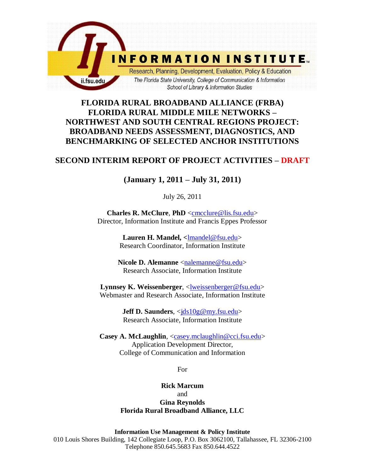

# **FLORIDA RURAL BROADBAND ALLIANCE (FRBA) FLORIDA RURAL MIDDLE MILE NETWORKS – NORTHWEST AND SOUTH CENTRAL REGIONS PROJECT: BROADBAND NEEDS ASSESSMENT, DIAGNOSTICS, AND BENCHMARKING OF SELECTED ANCHOR INSTITUTIONS**

# **SECOND INTERIM REPORT OF PROJECT ACTIVITIES – DRAFT**

# **(January 1, 2011 – July 31, 2011)**

July 26, 2011

**Charles R. McClure**, **PhD** [<cmcclure@lis.fsu.edu>](mailto:cmcclure@lis.fsu.edu) Director, Information Institute and Francis Eppes Professor

> **Lauren H. Mandel, <**lmandel@fsu.edu> Research Coordinator, Information Institute

Nicole D. Alemanne [<nalemanne@fsu.edu>](mailto:nalemanne@fsu.edu) Research Associate, Information Institute

**Lynnsey K. Weissenberger**, [<lweissenberger@fsu.edu>](mailto:lweissenberger@fsu.edu) Webmaster and Research Associate, Information Institute

> **Jeff D. Saunders, <ids10g@my.fsu.edu>** Research Associate, Information Institute

**Casey A. McLaughlin**, [<casey.mclaughlin@cci.fsu.edu>](mailto:casey.mclaughlin@cci.fsu.edu) Application Development Director, College of Communication and Information

For

**Rick Marcum** and **Gina Reynolds Florida Rural Broadband Alliance, LLC**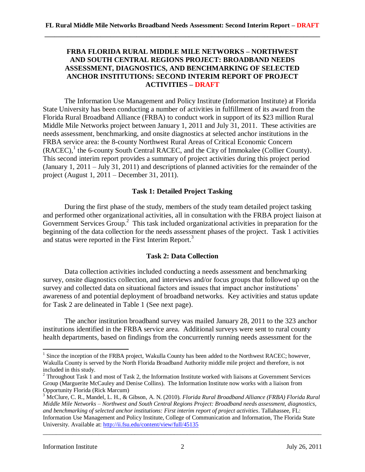## **FRBA FLORIDA RURAL MIDDLE MILE NETWORKS – NORTHWEST AND SOUTH CENTRAL REGIONS PROJECT: BROADBAND NEEDS ASSESSMENT, DIAGNOSTICS, AND BENCHMARKING OF SELECTED ANCHOR INSTITUTIONS: SECOND INTERIM REPORT OF PROJECT ACTIVITIES – DRAFT**

The Information Use Management and Policy Institute (Information Institute) at Florida State University has been conducting a number of activities in fulfillment of its award from the Florida Rural Broadband Alliance (FRBA) to conduct work in support of its \$23 million Rural Middle Mile Networks project between January 1, 2011 and July 31, 2011. These activities are needs assessment, benchmarking, and onsite diagnostics at selected anchor institutions in the FRBA service area: the 8-county Northwest Rural Areas of Critical Economic Concern  $(RACEC)$ , the 6-county South Central RACEC, and the City of Immokalee (Collier County). This second interim report provides a summary of project activities during this project period (January 1, 2011 – July 31, 2011) and descriptions of planned activities for the remainder of the project (August 1, 2011 – December 31, 2011).

## **Task 1: Detailed Project Tasking**

During the first phase of the study, members of the study team detailed project tasking and performed other organizational activities, all in consultation with the FRBA project liaison at Government Services Group.<sup>2</sup> This task included organizational activities in preparation for the beginning of the data collection for the needs assessment phases of the project. Task 1 activities and status were reported in the First Interim Report.<sup>3</sup>

## **Task 2: Data Collection**

Data collection activities included conducting a needs assessment and benchmarking survey, onsite diagnostics collection, and interviews and/or focus groups that followed up on the survey and collected data on situational factors and issues that impact anchor institutions' awareness of and potential deployment of broadband networks. Key activities and status update for Task 2 are delineated in Table 1 (See next page).

The anchor institution broadband survey was mailed January 28, 2011 to the 323 anchor institutions identified in the FRBA service area. Additional surveys were sent to rural county health departments, based on findings from the concurrently running needs assessment for the

<sup>&</sup>lt;sup>1</sup> Since the inception of the FRBA project, Wakulla County has been added to the Northwest RACEC; however, Wakulla County is served by the North Florida Broadband Authority middle mile project and therefore, is not included in this study.

<sup>&</sup>lt;sup>2</sup> Throughout Task 1 and most of Task 2, the Information Institute worked with liaisons at Government Services Group (Marguerite McCauley and Denise Collins). The Information Institute now works with a liaison from Opportunity Florida (Rick Marcum)

<sup>3</sup> McClure, C. R., Mandel, L. H., & Gibson, A. N. (2010). *Florida Rural Broadband Alliance (FRBA) Florida Rural Middle Mile Networks – Northwest and South Central Regions Project: Broadband needs assessment, diagnostics, and benchmarking of selected anchor institutions: First interim report of project activities*. Tallahassee, FL: Information Use Management and Policy Institute, College of Communication and Information, The Florida State University. Available at:<http://ii.fsu.edu/content/view/full/45135>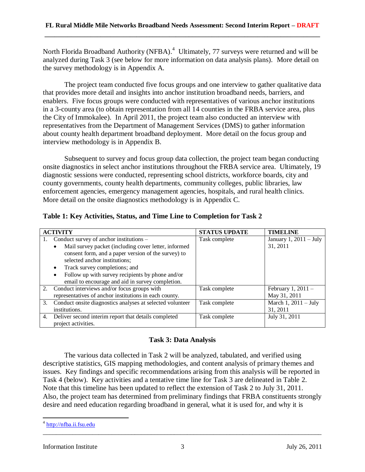North Florida Broadband Authority (NFBA).<sup>4</sup> Ultimately, 77 surveys were returned and will be analyzed during Task 3 (see below for more information on data analysis plans). More detail on the survey methodology is in Appendix A.

The project team conducted five focus groups and one interview to gather qualitative data that provides more detail and insights into anchor institution broadband needs, barriers, and enablers. Five focus groups were conducted with representatives of various anchor institutions in a 3-county area (to obtain representation from all 14 counties in the FRBA service area, plus the City of Immokalee). In April 2011, the project team also conducted an interview with representatives from the Department of Management Services (DMS) to gather information about county health department broadband deployment. More detail on the focus group and interview methodology is in Appendix B.

Subsequent to survey and focus group data collection, the project team began conducting onsite diagnostics in select anchor institutions throughout the FRBA service area. Ultimately, 19 diagnostic sessions were conducted, representing school districts, workforce boards, city and county governments, county health departments, community colleges, public libraries, law enforcement agencies, emergency management agencies, hospitals, and rural health clinics. More detail on the onsite diagnostics methodology is in Appendix C.

| Table 1: Key Activities, Status, and Time Line to Completion for Task 2 |  |  |  |  |
|-------------------------------------------------------------------------|--|--|--|--|
|-------------------------------------------------------------------------|--|--|--|--|

| <b>ACTIVITY</b> |                                                           | <b>STATUS UPDATE</b> | <b>TIMELINE</b>          |
|-----------------|-----------------------------------------------------------|----------------------|--------------------------|
| 1.              | Conduct survey of anchor institutions -                   | Task complete        | January 1, $2011 - July$ |
|                 | Mail survey packet (including cover letter, informed      |                      | 31, 2011                 |
|                 | consent form, and a paper version of the survey) to       |                      |                          |
|                 | selected anchor institutions;                             |                      |                          |
|                 | Track survey completions; and                             |                      |                          |
|                 | Follow up with survey recipients by phone and/or<br>٠     |                      |                          |
|                 | email to encourage and aid in survey completion.          |                      |                          |
| 2.              | Conduct interviews and/or focus groups with               | Task complete        | February 1, $2011 -$     |
|                 | representatives of anchor institutions in each county.    |                      | May 31, 2011             |
| 3.              | Conduct onsite diagnostics analyses at selected volunteer | Task complete        | March 1, $2011 - July$   |
|                 | institutions.                                             |                      | 31, 2011                 |
| 4.              | Deliver second interim report that details completed      | Task complete        | July 31, 2011            |
|                 | project activities.                                       |                      |                          |

# **Task 3: Data Analysis**

The various data collected in Task 2 will be analyzed, tabulated, and verified using descriptive statistics, GIS mapping methodologies, and content analysis of primary themes and issues. Key findings and specific recommendations arising from this analysis will be reported in Task 4 (below). Key activities and a tentative time line for Task 3 are delineated in Table 2. Note that this timeline has been updated to reflect the extension of Task 2 to July 31, 2011. Also, the project team has determined from preliminary findings that FRBA constituents strongly desire and need education regarding broadband in general, what it is used for, and why it is

<sup>&</sup>lt;sup>4</sup> [http://nfba.ii.fsu.edu](http://nfba.ii.fsu.edu/)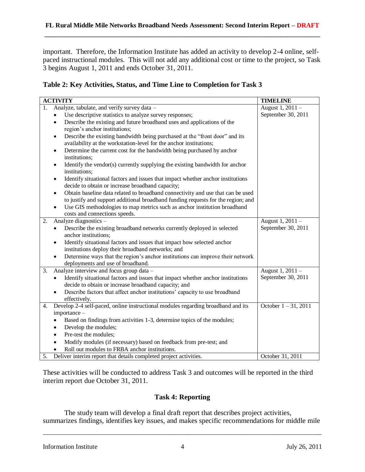important. Therefore, the Information Institute has added an activity to develop 2-4 online, selfpaced instructional modules. This will not add any additional cost or time to the project, so Task 3 begins August 1, 2011 and ends October 31, 2011.

| Table 2: Key Activities, Status, and Time Line to Completion for Task 3 |  |  |  |  |  |  |
|-------------------------------------------------------------------------|--|--|--|--|--|--|
|                                                                         |  |  |  |  |  |  |

|    | <b>ACTIVITY</b>                                                                                                                                                | <b>TIMELINE</b>        |
|----|----------------------------------------------------------------------------------------------------------------------------------------------------------------|------------------------|
| 1. | Analyze, tabulate, and verify survey data -                                                                                                                    | August 1, 2011 -       |
|    | Use descriptive statistics to analyze survey responses;<br>$\bullet$                                                                                           | September 30, 2011     |
|    | Describe the existing and future broadband uses and applications of the<br>$\bullet$<br>region's anchor institutions;                                          |                        |
|    | Describe the existing bandwidth being purchased at the "front door" and its<br>$\bullet$<br>availability at the workstation-level for the anchor institutions; |                        |
|    | Determine the current cost for the bandwidth being purchased by anchor<br>$\bullet$<br>institutions;                                                           |                        |
|    | Identify the vendor(s) currently supplying the existing bandwidth for anchor<br>$\bullet$<br>institutions;                                                     |                        |
|    | Identify situational factors and issues that impact whether anchor institutions<br>$\bullet$<br>decide to obtain or increase broadband capacity;               |                        |
|    | Obtain baseline data related to broadband connectivity and use that can be used<br>$\bullet$                                                                   |                        |
|    | to justify and support additional broadband funding requests for the region; and                                                                               |                        |
|    | Use GIS methodologies to map metrics such as anchor institution broadband<br>$\bullet$<br>costs and connections speeds.                                        |                        |
| 2. | Analyze diagnostics -                                                                                                                                          | August 1, 2011 -       |
|    | Describe the existing broadband networks currently deployed in selected<br>$\bullet$<br>anchor institutions;                                                   | September 30, 2011     |
|    | Identify situational factors and issues that impact how selected anchor<br>$\bullet$                                                                           |                        |
|    | institutions deploy their broadband networks; and                                                                                                              |                        |
|    | Determine ways that the region's anchor institutions can improve their network<br>$\bullet$<br>deployments and use of broadband.                               |                        |
| 3. | Analyze interview and focus group data -                                                                                                                       | August 1, 2011 -       |
|    | Identify situational factors and issues that impact whether anchor institutions<br>$\bullet$<br>decide to obtain or increase broadband capacity; and           | September 30, 2011     |
|    | Describe factors that affect anchor institutions' capacity to use broadband<br>$\bullet$<br>effectively.                                                       |                        |
| 4. | Develop 2-4 self-paced, online instructional modules regarding broadband and its                                                                               | October $1 - 31, 2011$ |
|    | importance -<br>Based on findings from activities 1-3, determine topics of the modules;                                                                        |                        |
|    | Develop the modules;<br>$\bullet$                                                                                                                              |                        |
|    | Pre-test the modules;<br>$\bullet$                                                                                                                             |                        |
|    | Modify modules (if necessary) based on feedback from pre-test; and                                                                                             |                        |
|    | Roll out modules to FRBA anchor institutions.                                                                                                                  |                        |
| 5. | Deliver interim report that details completed project activities.                                                                                              | October 31, 2011       |

These activities will be conducted to address Task 3 and outcomes will be reported in the third interim report due October 31, 2011.

## **Task 4: Reporting**

The study team will develop a final draft report that describes project activities, summarizes findings, identifies key issues, and makes specific recommendations for middle mile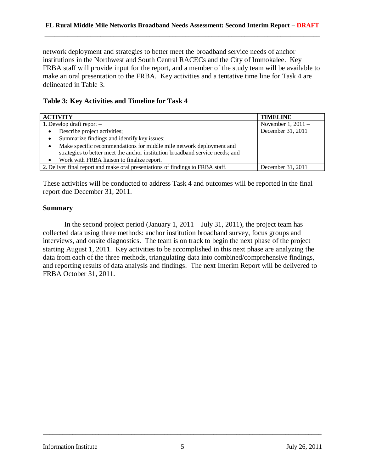network deployment and strategies to better meet the broadband service needs of anchor institutions in the Northwest and South Central RACECs and the City of Immokalee. Key FRBA staff will provide input for the report, and a member of the study team will be available to make an oral presentation to the FRBA. Key activities and a tentative time line for Task 4 are delineated in Table 3.

## **Table 3: Key Activities and Timeline for Task 4**

| <b>ACTIVITY</b>                                                                   | <b>TIMELINE</b>      |  |
|-----------------------------------------------------------------------------------|----------------------|--|
| 1. Develop draft report $-$                                                       | November 1, $2011 -$ |  |
| December 31, 2011<br>Describe project activities;<br>٠                            |                      |  |
| Summarize findings and identify key issues;<br>٠                                  |                      |  |
| Make specific recommendations for middle mile network deployment and<br>$\bullet$ |                      |  |
| strategies to better meet the anchor institution broadband service needs; and     |                      |  |
| Work with FRBA liaison to finalize report.<br>$\bullet$                           |                      |  |
| 2. Deliver final report and make oral presentations of findings to FRBA staff.    | December 31, 2011    |  |

These activities will be conducted to address Task 4 and outcomes will be reported in the final report due December 31, 2011.

## **Summary**

In the second project period (January 1,  $2011 - \text{July } 31, 2011$ ), the project team has collected data using three methods: anchor institution broadband survey, focus groups and interviews, and onsite diagnostics. The team is on track to begin the next phase of the project starting August 1, 2011. Key activities to be accomplished in this next phase are analyzing the data from each of the three methods, triangulating data into combined/comprehensive findings, and reporting results of data analysis and findings. The next Interim Report will be delivered to FRBA October 31, 2011.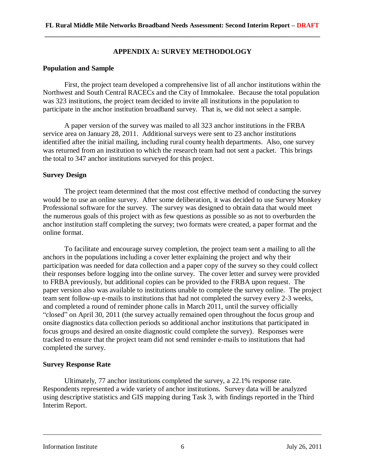## **APPENDIX A: SURVEY METHODOLOGY**

### **Population and Sample**

First, the project team developed a comprehensive list of all anchor institutions within the Northwest and South Central RACECs and the City of Immokalee. Because the total population was 323 institutions, the project team decided to invite all institutions in the population to participate in the anchor institution broadband survey. That is, we did not select a sample.

A paper version of the survey was mailed to all 323 anchor institutions in the FRBA service area on January 28, 2011. Additional surveys were sent to 23 anchor institutions identified after the initial mailing, including rural county health departments. Also, one survey was returned from an institution to which the research team had not sent a packet. This brings the total to 347 anchor institutions surveyed for this project.

#### **Survey Design**

The project team determined that the most cost effective method of conducting the survey would be to use an online survey. After some deliberation, it was decided to use Survey Monkey Professional software for the survey. The survey was designed to obtain data that would meet the numerous goals of this project with as few questions as possible so as not to overburden the anchor institution staff completing the survey; two formats were created, a paper format and the online format.

To facilitate and encourage survey completion, the project team sent a mailing to all the anchors in the populations including a cover letter explaining the project and why their participation was needed for data collection and a paper copy of the survey so they could collect their responses before logging into the online survey. The cover letter and survey were provided to FRBA previously, but additional copies can be provided to the FRBA upon request. The paper version also was available to institutions unable to complete the survey online. The project team sent follow-up e-mails to institutions that had not completed the survey every 2-3 weeks, and completed a round of reminder phone calls in March 2011, until the survey officially "closed" on April 30, 2011 (the survey actually remained open throughout the focus group and onsite diagnostics data collection periods so additional anchor institutions that participated in focus groups and desired an onsite diagnostic could complete the survey). Responses were tracked to ensure that the project team did not send reminder e-mails to institutions that had completed the survey.

## **Survey Response Rate**

Ultimately, 77 anchor institutions completed the survey, a 22.1% response rate. Respondents represented a wide variety of anchor institutions. Survey data will be analyzed using descriptive statistics and GIS mapping during Task 3, with findings reported in the Third Interim Report.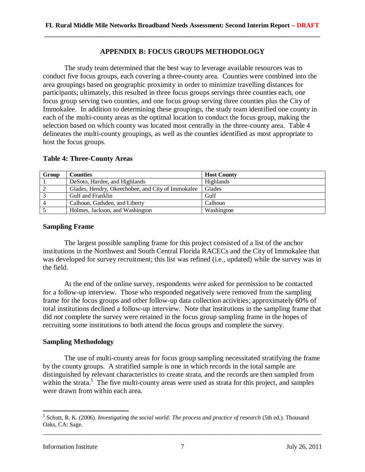## **APPENDIX B: FOCUS GROUPS METHODOLOGY**

The study team determined that the best way to leverage available resources was to conduct five focus groups, each covering a three-county area. Counties were combined into the area groupings based on geographic proximity in order to minimize travelling distances for participants; ultimately, this resulted in three focus groups servings three counties each, one focus group serving two counties, and one focus group serving three counties plus the City of Immokalee. In addition to determining these groupings, the study team identified one county in each of the multi-county areas as the optimal location to conduct the focus group, making the selection based on which county was located most centrally in the three-county area. Table 4 delineates the multi-county groupings, as well as the counties identified as most appropriate to host the focus groups.

| Group | <b>Counties</b>                                   | <b>Host County</b> |
|-------|---------------------------------------------------|--------------------|
|       | DeSoto, Hardee, and Highlands                     | Highlands          |
|       | Glades, Hendry, Okeechobee, and City of Immokalee | Glades             |
|       | Gulf and Franklin                                 | Gulf               |
|       | Calhoun, Gadsden, and Liberty                     | Calhoun            |
|       | Holmes, Jackson, and Washington                   | Washington         |

#### **Table 4: Three-County Areas**

#### **Sampling Frame**

The largest possible sampling frame for this project consisted of a list of the anchor institutions in the Northwest and South Central Florida RACECs and the City of Immokalee that was developed for survey recruitment; this list was refined (i.e., updated) while the survey was in the field.

At the end of the online survey, respondents were asked for permission to be contacted for a follow-up interview. Those who responded negatively were removed from the sampling frame for the focus groups and other follow-up data collection activities; approximately 60% of total institutions declined a follow-up interview. Note that institutions in the sampling frame that did *not* complete the survey were retained in the focus group sampling frame in the hopes of recruiting some institutions to both attend the focus groups and complete the survey.

## **Sampling Methodology**

The use of multi-county areas for focus group sampling necessitated stratifying the frame by the county groups. A stratified sample is one in which records in the total sample are distinguished by relevant characteristics to create strata, and the records are then sampled from within the strata.<sup>5</sup> The five multi-county areas were used as strata for this project, and samples were drawn from within each area.

<sup>&</sup>lt;sup>5</sup> Schutt, R. K. (2006). *Investigating the social world: The process and practice of research* (5th ed.). Thousand Oaks, CA: Sage.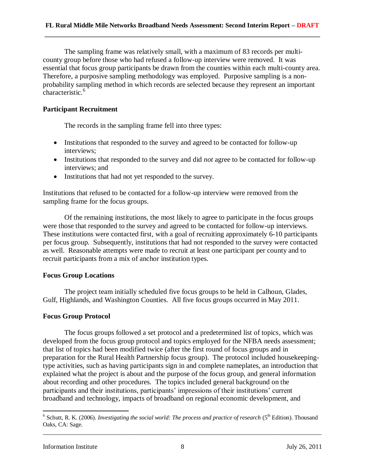The sampling frame was relatively small, with a maximum of 83 records per multicounty group before those who had refused a follow-up interview were removed. It was essential that focus group participants be drawn from the counties within each multi-county area. Therefore, a purposive sampling methodology was employed. Purposive sampling is a nonprobability sampling method in which records are selected because they represent an important characteristic.<sup>6</sup>

## **Participant Recruitment**

The records in the sampling frame fell into three types:

- Institutions that responded to the survey and agreed to be contacted for follow-up interviews;
- Institutions that responded to the survey and did *not* agree to be contacted for follow-up interviews; and
- Institutions that had not yet responded to the survey.

Institutions that refused to be contacted for a follow-up interview were removed from the sampling frame for the focus groups.

Of the remaining institutions, the most likely to agree to participate in the focus groups were those that responded to the survey and agreed to be contacted for follow-up interviews. These institutions were contacted first, with a goal of recruiting approximately 6-10 participants per focus group. Subsequently, institutions that had not responded to the survey were contacted as well. Reasonable attempts were made to recruit at least one participant per county and to recruit participants from a mix of anchor institution types.

## **Focus Group Locations**

The project team initially scheduled five focus groups to be held in Calhoun, Glades, Gulf, Highlands, and Washington Counties. All five focus groups occurred in May 2011.

## **Focus Group Protocol**

The focus groups followed a set protocol and a predetermined list of topics, which was developed from the focus group protocol and topics employed for the NFBA needs assessment; that list of topics had been modified twice (after the first round of focus groups and in preparation for the Rural Health Partnership focus group). The protocol included housekeepingtype activities, such as having participants sign in and complete nameplates, an introduction that explained what the project is about and the purpose of the focus group, and general information about recording and other procedures. The topics included general background on the participants and their institutions, participants' impressions of their institutions' current broadband and technology, impacts of broadband on regional economic development, and

\_\_\_\_\_\_\_\_\_\_\_\_\_\_\_\_\_\_\_\_\_\_\_\_\_\_\_\_\_\_\_\_\_\_\_\_\_\_\_\_\_\_\_\_\_\_\_\_\_\_\_\_\_\_\_\_\_\_\_\_\_\_\_\_\_\_\_\_\_\_\_\_\_\_\_\_\_\_\_\_\_\_\_\_\_ <sup>6</sup> Schutt, R. K. (2006). *Investigating the social world: The process and practice of research* (5<sup>th</sup> Edition). Thousand Oaks, CA: Sage.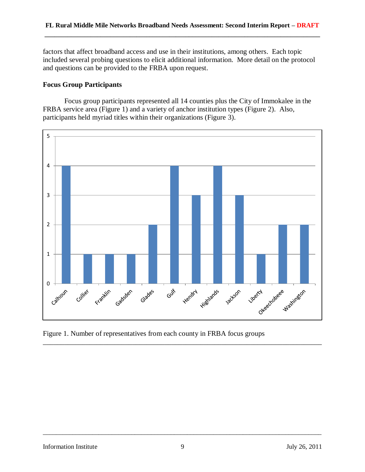factors that affect broadband access and use in their institutions, among others. Each topic included several probing questions to elicit additional information. More detail on the protocol and questions can be provided to the FRBA upon request.

## **Focus Group Participants**

Focus group participants represented all 14 counties plus the City of Immokalee in the FRBA service area (Figure 1) and a variety of anchor institution types (Figure 2). Also, participants held myriad titles within their organizations (Figure 3).



Figure 1. Number of representatives from each county in FRBA focus groups

\_\_\_\_\_\_\_\_\_\_\_\_\_\_\_\_\_\_\_\_\_\_\_\_\_\_\_\_\_\_\_\_\_\_\_\_\_\_\_\_\_\_\_\_\_\_\_\_\_\_\_\_\_\_\_\_\_\_\_\_\_\_\_\_\_\_\_\_\_\_\_\_\_\_\_\_\_\_\_\_\_\_\_\_\_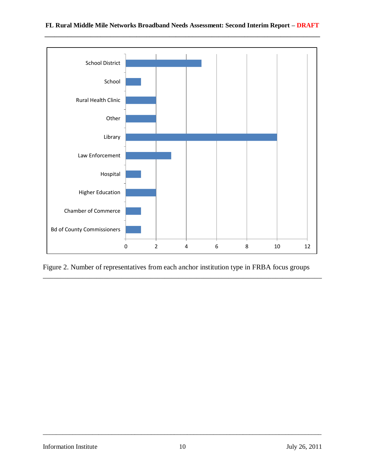

Figure 2. Number of representatives from each anchor institution type in FRBA focus groups

\_\_\_\_\_\_\_\_\_\_\_\_\_\_\_\_\_\_\_\_\_\_\_\_\_\_\_\_\_\_\_\_\_\_\_\_\_\_\_\_\_\_\_\_\_\_\_\_\_\_\_\_\_\_\_\_\_\_\_\_\_\_\_\_\_\_\_\_\_\_\_\_\_\_\_\_\_\_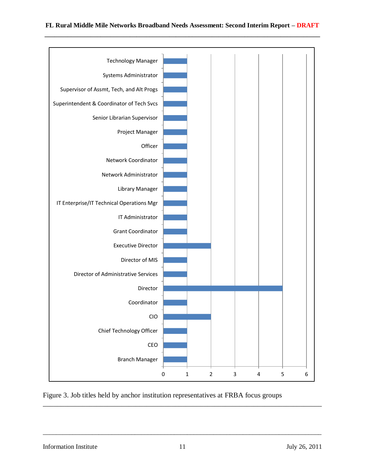

Figure 3. Job titles held by anchor institution representatives at FRBA focus groups

\_\_\_\_\_\_\_\_\_\_\_\_\_\_\_\_\_\_\_\_\_\_\_\_\_\_\_\_\_\_\_\_\_\_\_\_\_\_\_\_\_\_\_\_\_\_\_\_\_\_\_\_\_\_\_\_\_\_\_\_\_\_\_\_\_\_\_\_\_\_\_\_\_\_\_\_\_\_\_\_\_\_\_\_\_

Information Institute 11 July 26, 2011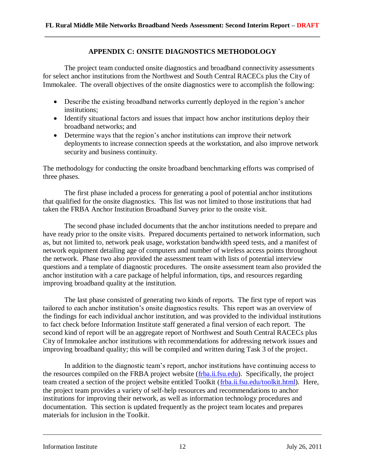### **APPENDIX C: ONSITE DIAGNOSTICS METHODOLOGY**

The project team conducted onsite diagnostics and broadband connectivity assessments for select anchor institutions from the Northwest and South Central RACECs plus the City of Immokalee. The overall objectives of the onsite diagnostics were to accomplish the following:

- Describe the existing broadband networks currently deployed in the region's anchor institutions;
- Identify situational factors and issues that impact how anchor institutions deploy their broadband networks; and
- Determine ways that the region's anchor institutions can improve their network deployments to increase connection speeds at the workstation, and also improve network security and business continuity.

The methodology for conducting the onsite broadband benchmarking efforts was comprised of three phases.

The first phase included a process for generating a pool of potential anchor institutions that qualified for the onsite diagnostics. This list was not limited to those institutions that had taken the FRBA Anchor Institution Broadband Survey prior to the onsite visit.

The second phase included documents that the anchor institutions needed to prepare and have ready prior to the onsite visits. Prepared documents pertained to network information, such as, but not limited to, network peak usage, workstation bandwidth speed tests, and a manifest of network equipment detailing age of computers and number of wireless access points throughout the network. Phase two also provided the assessment team with lists of potential interview questions and a template of diagnostic procedures. The onsite assessment team also provided the anchor institution with a care package of helpful information, tips, and resources regarding improving broadband quality at the institution.

The last phase consisted of generating two kinds of reports. The first type of report was tailored to each anchor institution's onsite diagnostics results. This report was an overview of the findings for each individual anchor institution, and was provided to the individual institutions to fact check before Information Institute staff generated a final version of each report. The second kind of report will be an aggregate report of Northwest and South Central RACECs plus City of Immokalee anchor institutions with recommendations for addressing network issues and improving broadband quality; this will be compiled and written during Task 3 of the project.

In addition to the diagnostic team's report, anchor institutions have continuing access to the resources compiled on the FRBA project website [\(frba.ii.fsu.edu\)](http://frba.ii.fsu.edu/). Specifically, the project team created a section of the project website entitled Toolkit [\(frba.ii.fsu.edu/toolkit.html\)](http://frba.ii.fsu.edu/toolkit.html). Here, the project team provides a variety of self-help resources and recommendations to anchor institutions for improving their network, as well as information technology procedures and documentation. This section is updated frequently as the project team locates and prepares materials for inclusion in the Toolkit.